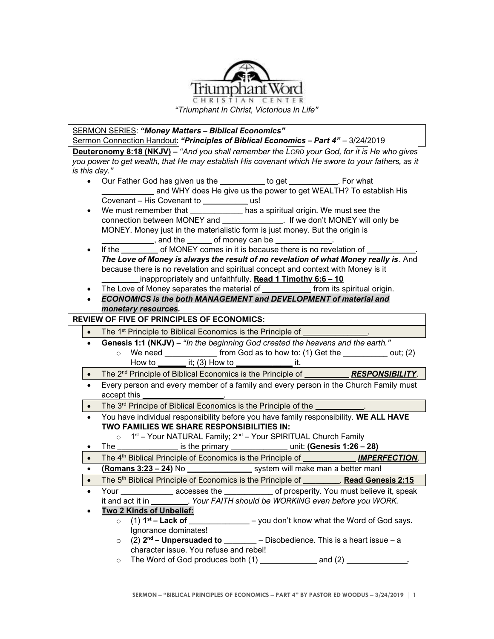

*"Triumphant In Christ, Victorious In Life"*

SERMON SERIES: *"Money Matters – Biblical Economics"*

Sermon Connection Handout: *"Principles of Biblical Economics – Part 4"* – 3/24/2019 **Deuteronomy 8:18 (NKJV) –** *"And you shall remember the LORD your God, for it is He who gives* 

*you power to get wealth, that He may establish His covenant which He swore to your fathers, as it is this day."*

- Our Father God has given us the *\_\_\_\_\_\_\_\_\_\_\_* to get *\_\_\_\_\_\_\_\_\_\_\_\_*. For what *\_\_\_\_\_\_\_\_\_\_\_\_* and WHY does He give us the power to get WEALTH? To establish His Covenant – His Covenant to *\_\_\_\_\_\_\_\_\_\_\_* us!
- We must remember that *\_\_\_\_\_\_\_\_\_\_\_\_\_* has a spiritual origin. We must see the connection between MONEY and *\_\_\_\_\_\_\_\_\_\_\_\_\_\_\_*. If we don't MONEY will only be MONEY. Money just in the materialistic form is just money. But the origin is

*\_\_\_\_\_\_\_\_\_\_\_\_\_*, and the *\_\_\_\_\_\_* of money can be *\_\_\_\_\_\_\_\_\_\_\_\_\_\_*.

- If the *\_\_\_\_\_\_\_\_\_* of MONEY comes in it is because there is no revelation of *\_\_\_\_\_\_\_\_\_\_\_\_*. *The Love of Money is always the result of no revelation of what Money really is*. And because there is no revelation and spiritual concept and context with Money is it *\_\_\_\_\_\_\_\_\_* inappropriately and unfaithfully. **Read 1 Timothy 6:6 – 10**
- The Love of Money separates the material of *from* its spiritual origin.
- *ECONOMICS is the both MANAGEMENT and DEVELOPMENT of material and monetary resources.*

**REVIEW OF FIVE OF PRINCIPLES OF ECONOMICS:**

• The 1<sup>st</sup> Principle to Biblical Economics is the Principle of

- **Genesis 1:1 (NKJV)** *"In the beginning God created the heavens and the earth."* o We need *\_\_\_\_\_\_\_\_\_\_\_\_\_* from God as to how to: (1) Get the *\_\_\_\_\_\_\_\_\_\_\_* out; (2) How to *\_\_\_\_\_\_\_* it; (3) How to *\_\_\_\_\_\_\_\_\_\_\_\_\_\_* it.
- The 2<sup>nd</sup> Principle of Biblical Economics is the Principle of *RESPONSIBILITY*.
- Every person and every member of a family and every person in the Church Family must accept this *\_\_\_\_\_\_\_\_\_\_\_\_\_\_\_\_\_\_\_\_*.
- The 3<sup>rd</sup> Principe of Biblical Economics is the Principle of the
- You have individual responsibility before you have family responsibility. **WE ALL HAVE TWO FAMILIES WE SHARE RESPONSIBILITIES IN:**

o 1<sup>st</sup> – Your NATURAL Family; 2<sup>nd</sup> – Your SPIRITUAL Church Family

- The *\_\_\_\_\_\_\_\_\_\_\_\_\_\_\_* is the primary *\_\_\_\_\_\_\_\_\_\_\_\_\_\_* unit: **(Genesis 1:26 – 28)**
- The 4<sup>th</sup> Biblical Principle of Economics is the Principle of *\_\_\_\_\_\_\_\_\_\_\_\_\_\_\_\_ <b>IMPERFECTION*.
- **(Romans 3:23 – 24)** No *\_\_\_\_\_\_\_\_\_\_\_\_\_\_\_\_* system will make man a better man!
- The 5<sup>th</sup> Biblical Principle of Economics is the Principle of **Read Genesis 2:15**
- Your *\_\_\_\_\_\_\_\_\_\_\_\_\_* accesses the *\_\_\_\_\_\_\_\_\_\_\_\_* of prosperity. You must believe it, speak it and act it in *\_\_\_\_\_\_\_\_\_*. *Your FAITH should be WORKING even before you WORK.*

## • **Two 2 Kinds of Unbelief:**

- $\circ$  (1) **1**<sup>st</sup> **Lack of** \_\_\_\_ **sta Eq. 2014** – you don't know what the Word of God says. Ignorance dominates!
- o (2) **2 nd – Unpersuaded to \_\_\_\_\_\_\_\_** Disobedience. This is a heart issue a character issue. You refuse and rebel!
- o The Word of God produces both (1) *\_\_\_\_\_\_\_\_\_\_\_\_\_\_* and (2) *\_\_\_\_\_\_\_\_\_\_\_\_\_\_\_.*